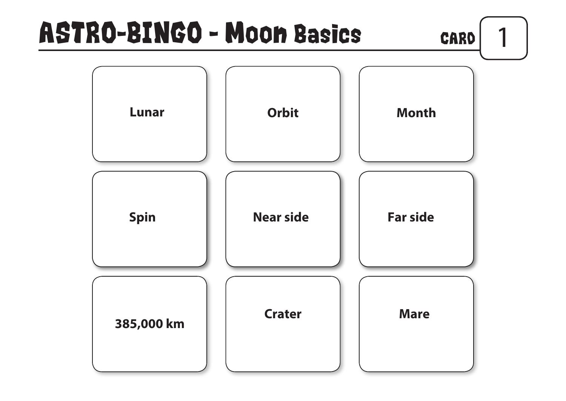



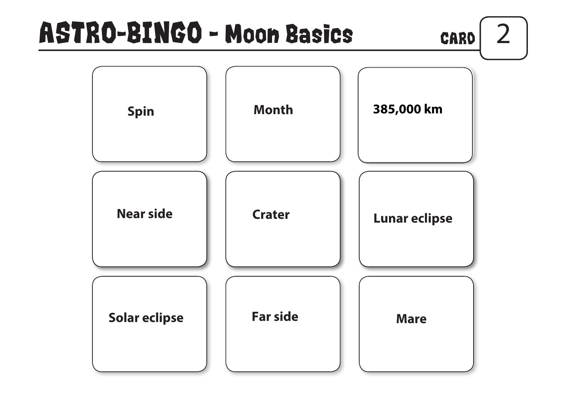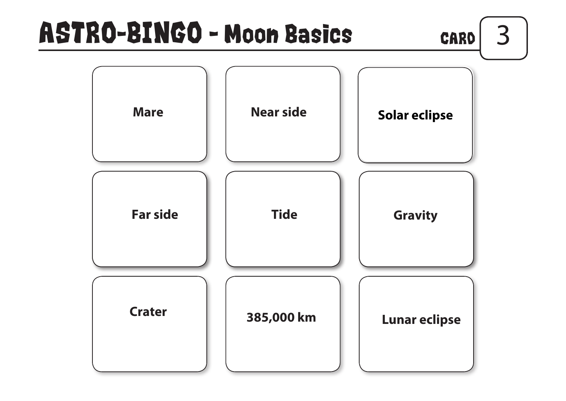



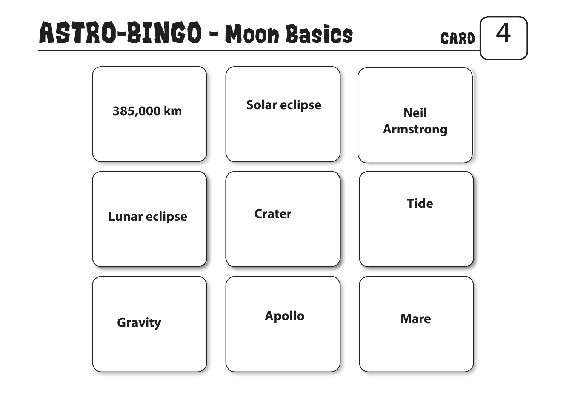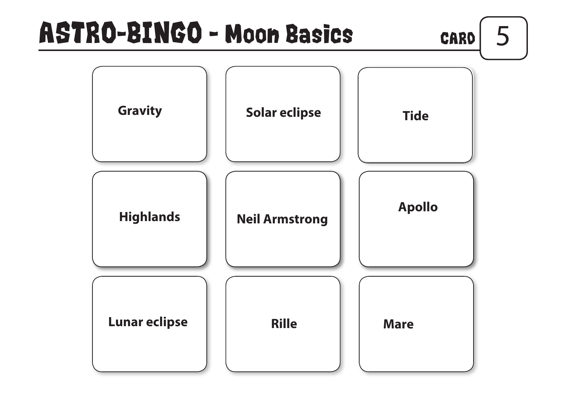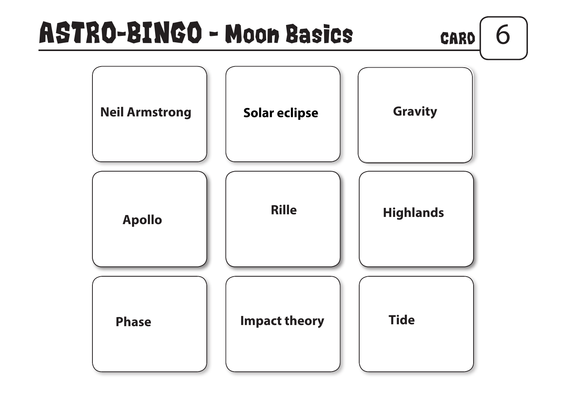